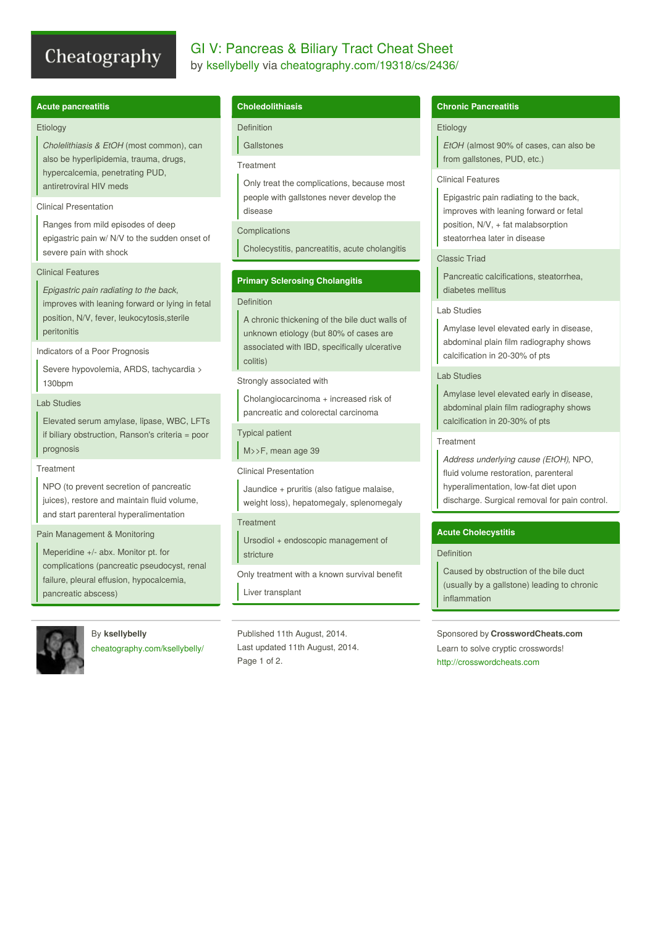# Cheatography

# GI V: Pancreas & Biliary Tract Cheat Sheet by [ksellybelly](http://www.cheatography.com/ksellybelly/) via [cheatography.com/19318/cs/2436/](http://www.cheatography.com/ksellybelly/cheat-sheets/gi-v-pancreas-and-biliary-tract)

# **Acute pancreatitis**

#### **Etiology**

*Cholelithiasis & EtOH* (most common), can also be hyperlipidemia, trauma, drugs, hypercalcemia, penetrating PUD, antiretroviral HIV meds

### Clinical Presentation

Ranges from mild episodes of deep epigastric pain w/ N/V to the sudden onset of severe pain with shock

# Clinical Features

*Epigastric pain radiating to the back*, improves with leaning forward or lying in fetal position, N/V, fever, leukocytosis,sterile peritonitis

#### Indicators of a Poor Prognosis

Severe hypovolemia, ARDS, tachycardia > 130bpm

# Lab Studies

Elevated serum amylase, lipase, WBC, LFTs if biliary obstruction, Ranson's criteria = poor prognosis

#### **Treatment**

NPO (to prevent secretion of pancreatic juices), restore and maintain fluid volume, and start parenteral hyperalimentation

# Pain Management & Monitoring

Meperidine +/- abx. Monitor pt. for complications (pancreatic pseudocyst, renal failure, pleural effusion, hypocalcemia, pancreatic abscess)



# By **ksellybelly**

[cheatography.com/ksellybelly/](http://www.cheatography.com/ksellybelly/)

# **Choledolithiasis**

Definition

# **Gallstones**

# Treatment

Only treat the complications, because most people with gallstones never develop the disease

# Complications

Cholecystitis, pancreatitis, acute cholangitis

# **Primary Sclerosing Cholangitis**

#### Definition

A chronic thickening of the bile duct walls of unknown etiology (but 80% of cases are associated with IBD, specifically ulcerative colitis)

Strongly associated with

Cholangiocarcinoma + increased risk of pancreatic and colorectal carcinoma

# Typical patient

M>>F, mean age 39

#### Clinical Presentation

Jaundice + pruritis (also fatigue malaise, weight loss), hepatomegaly, splenomegaly

# **Treatment**

Ursodiol + endoscopic management of stricture

Only treatment with a known survival benefit Liver transplant

Published 11th August, 2014. Last updated 11th August, 2014. Page 1 of 2.

# **Chronic Pancreatitis**

# **Etiology**

*EtOH* (almost 90% of cases, can also be from gallstones, PUD, etc.)

# Clinical Features

Epigastric pain radiating to the back, improves with leaning forward or fetal position, N/V, + fat malabsorption steatorrhea later in disease

# Classic Triad

Pancreatic calcifications, steatorrhea, diabetes mellitus

# Lab Studies

Amylase level elevated early in disease, abdominal plain film radiography shows calcification in 20-30% of pts

# Lab Studies

Amylase level elevated early in disease, abdominal plain film radiography shows calcification in 20-30% of pts

# **Treatment**

*Address underlying cause (EtOH)*, NPO, fluid volume restoration, parenteral hyperalimentation, low-fat diet upon discharge. Surgical removal for pain control.

# **Acute Cholecystitis**

# Definition

Caused by obstruction of the bile duct (usually by a gallstone) leading to chronic inflammation

Sponsored by **CrosswordCheats.com** Learn to solve cryptic crosswords! <http://crosswordcheats.com>